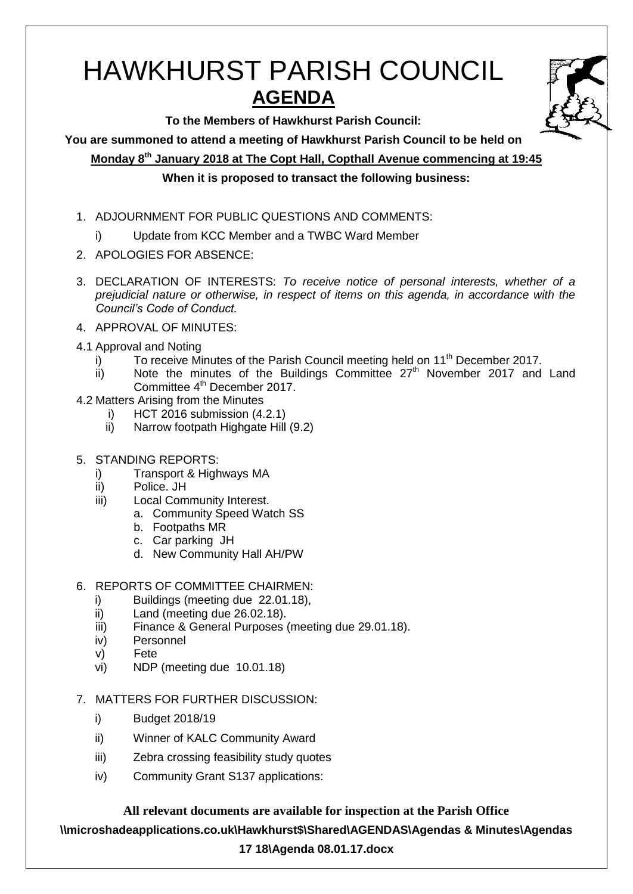# HAWKHURST PARISH COUNCIL **AGENDA**

**To the Members of Hawkhurst Parish Council:**

**You are summoned to attend a meeting of Hawkhurst Parish Council to be held on**

**Monday 8th January 2018 at The Copt Hall, Copthall Avenue commencing at 19:45**

# **When it is proposed to transact the following business:**

- 1. ADJOURNMENT FOR PUBLIC QUESTIONS AND COMMENTS:
	- i) Update from KCC Member and a TWBC Ward Member
- 2. APOLOGIES FOR ABSENCE:
- 3. DECLARATION OF INTERESTS: *To receive notice of personal interests, whether of a prejudicial nature or otherwise, in respect of items on this agenda, in accordance with the Council's Code of Conduct.*
- 4. APPROVAL OF MINUTES:
- 4.1 Approval and Noting
	- $\overline{a}$  To receive Minutes of the Parish Council meeting held on 11<sup>th</sup> December 2017.
	- $\overline{ii}$  Note the minutes of the Buildings Committee 27<sup>th</sup> November 2017 and Land Committee 4<sup>th</sup> December 2017.
- 4.2 Matters Arising from the Minutes
	- i) HCT 2016 submission (4.2.1)
	- ii) Narrow footpath Highgate Hill (9.2)
- 5. STANDING REPORTS:
	- i) Transport & Highways MA
	- ii) Police. JH
	- iii) Local Community Interest.
		- a. Community Speed Watch SS
			- b. Footpaths MR
			- c. Car parking JH
			- d. New Community Hall AH/PW
- 6. REPORTS OF COMMITTEE CHAIRMEN:
	- i) Buildings (meeting due 22.01.18),
	- ii) Land (meeting due 26.02.18).
	- iii) Finance & General Purposes (meeting due 29.01.18).
	- iv) Personnel
	- v) Fete
	- vi) NDP (meeting due 10.01.18)
- 7. MATTERS FOR FURTHER DISCUSSION:
	- i) Budget 2018/19
	- ii) Winner of KALC Community Award
	- iii) Zebra crossing feasibility study quotes
	- iv) Community Grant S137 applications:

**All relevant documents are available for inspection at the Parish Office \\microshadeapplications.co.uk\Hawkhurst\$\Shared\AGENDAS\Agendas & Minutes\Agendas** 

### **17 18\Agenda 08.01.17.docx**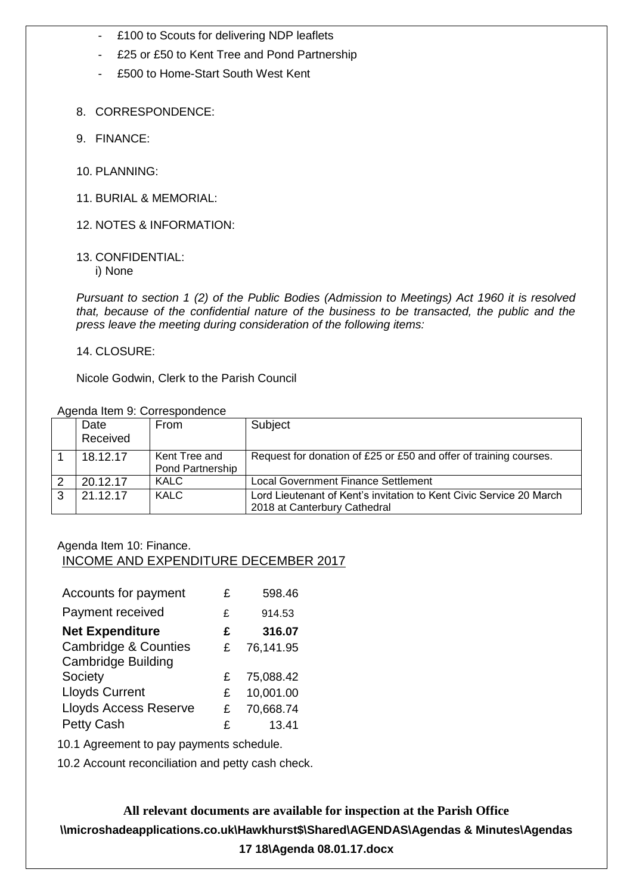- £100 to Scouts for delivering NDP leaflets
- £25 or £50 to Kent Tree and Pond Partnership
- £500 to Home-Start South West Kent
- 8. CORRESPONDENCE:
- 9. FINANCE:
- 10. PLANNING:
- 11. BURIAL & MEMORIAL:
- 12. NOTES & INFORMATION:
- 13. CONFIDENTIAL:

i) None

*Pursuant to section 1 (2) of the Public Bodies (Admission to Meetings) Act 1960 it is resolved that, because of the confidential nature of the business to be transacted, the public and the press leave the meeting during consideration of the following items:*

#### 14. CLOSURE:

Nicole Godwin, Clerk to the Parish Council

| Agenda Item 9: Correspondence |  |  |
|-------------------------------|--|--|
|-------------------------------|--|--|

|   | Agonad Rom 9. Concepting Rome |                                          |                                                                                                     |  |
|---|-------------------------------|------------------------------------------|-----------------------------------------------------------------------------------------------------|--|
|   | Date<br>Received              | From                                     | Subject                                                                                             |  |
|   | 18.12.17                      | Kent Tree and<br><b>Pond Partnership</b> | Request for donation of £25 or £50 and offer of training courses.                                   |  |
|   | 20.12.17                      | <b>KALC</b>                              | <b>Local Government Finance Settlement</b>                                                          |  |
| 3 | 21.12.17                      | <b>KALC</b>                              | Lord Lieutenant of Kent's invitation to Kent Civic Service 20 March<br>2018 at Canterbury Cathedral |  |

#### Agenda Item 10: Finance. INCOME AND EXPENDITURE DECEMBER 2017

| Accounts for payment                                         | £ | 598.46    |
|--------------------------------------------------------------|---|-----------|
| Payment received                                             | £ | 914.53    |
| <b>Net Expenditure</b>                                       | £ | 316.07    |
| <b>Cambridge &amp; Counties</b><br><b>Cambridge Building</b> | £ | 76,141.95 |
| Society                                                      | £ | 75,088.42 |
| <b>Lloyds Current</b>                                        | £ | 10,001.00 |
| <b>Lloyds Access Reserve</b>                                 | £ | 70,668.74 |
| <b>Petty Cash</b>                                            | £ | 13.41     |

10.1 Agreement to pay payments schedule.

10.2 Account reconciliation and petty cash check.

**All relevant documents are available for inspection at the Parish Office \\microshadeapplications.co.uk\Hawkhurst\$\Shared\AGENDAS\Agendas & Minutes\Agendas 17 18\Agenda 08.01.17.docx**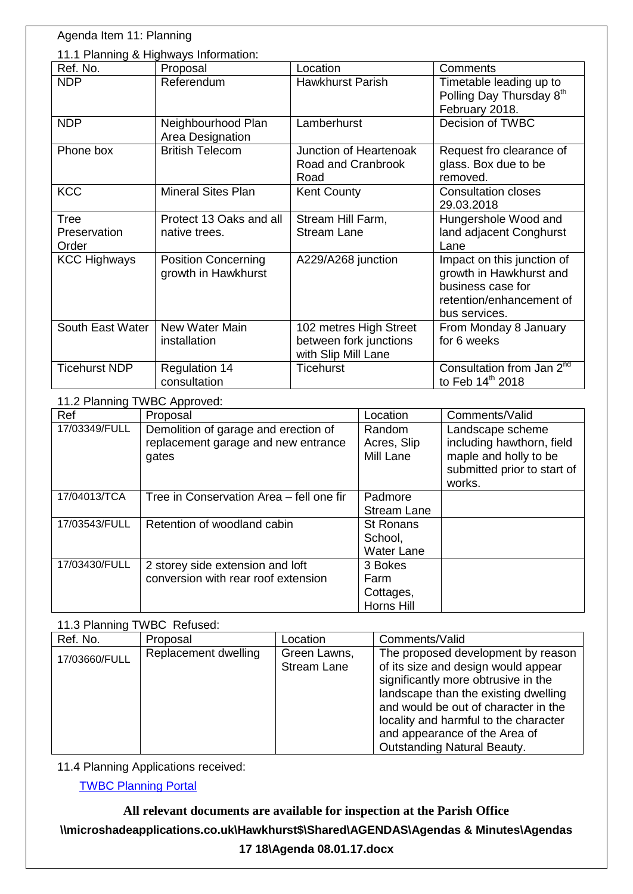| Agenda Item 11: Planning              |                                                   |                                                                         |                                                                                                                         |
|---------------------------------------|---------------------------------------------------|-------------------------------------------------------------------------|-------------------------------------------------------------------------------------------------------------------------|
| 11.1 Planning & Highways Information: |                                                   |                                                                         |                                                                                                                         |
| Ref. No.                              | Proposal                                          | Location                                                                | Comments                                                                                                                |
| <b>NDP</b>                            | Referendum                                        | <b>Hawkhurst Parish</b>                                                 | Timetable leading up to<br>Polling Day Thursday 8 <sup>th</sup>                                                         |
|                                       |                                                   |                                                                         | February 2018.                                                                                                          |
| <b>NDP</b>                            | Neighbourhood Plan<br>Area Designation            | Lamberhurst                                                             | Decision of TWBC                                                                                                        |
| Phone box                             | <b>British Telecom</b>                            | Junction of Heartenoak<br>Road and Cranbrook<br>Road                    | Request fro clearance of<br>glass. Box due to be<br>removed.                                                            |
| <b>KCC</b>                            | <b>Mineral Sites Plan</b>                         | <b>Kent County</b>                                                      | <b>Consultation closes</b><br>29.03.2018                                                                                |
| Tree                                  | Protect 13 Oaks and all                           | Stream Hill Farm,                                                       | Hungershole Wood and                                                                                                    |
| Preservation<br>Order                 | native trees.                                     | <b>Stream Lane</b>                                                      | land adjacent Conghurst<br>Lane                                                                                         |
| <b>KCC Highways</b>                   | <b>Position Concerning</b><br>growth in Hawkhurst | A229/A268 junction                                                      | Impact on this junction of<br>growth in Hawkhurst and<br>business case for<br>retention/enhancement of<br>bus services. |
| South East Water                      | New Water Main<br>installation                    | 102 metres High Street<br>between fork junctions<br>with Slip Mill Lane | From Monday 8 January<br>for 6 weeks                                                                                    |
| <b>Ticehurst NDP</b>                  | <b>Regulation 14</b><br>consultation              | <b>Ticehurst</b>                                                        | Consultation from Jan 2 <sup>nd</sup><br>to Feb 14 <sup>th</sup> 2018                                                   |

11.2 Planning TWBC Approved:

| Ref           | Proposal                                 | Location           | Comments/Valid              |
|---------------|------------------------------------------|--------------------|-----------------------------|
| 17/03349/FULL | Demolition of garage and erection of     | Random             | Landscape scheme            |
|               | replacement garage and new entrance      | Acres, Slip        | including hawthorn, field   |
|               | gates                                    | Mill Lane          | maple and holly to be       |
|               |                                          |                    | submitted prior to start of |
|               |                                          |                    | works.                      |
| 17/04013/TCA  | Tree in Conservation Area - fell one fir | Padmore            |                             |
|               |                                          | <b>Stream Lane</b> |                             |
| 17/03543/FULL | Retention of woodland cabin              | <b>St Ronans</b>   |                             |
|               |                                          | School,            |                             |
|               |                                          | <b>Water Lane</b>  |                             |
| 17/03430/FULL | 2 storey side extension and loft         | 3 Bokes            |                             |
|               | conversion with rear roof extension      | Farm               |                             |
|               |                                          | Cottages,          |                             |
|               |                                          | Horns Hill         |                             |

## 11.3 Planning TWBC Refused:

| Ref. No.      | Proposal             | Location                           | Comments/Valid                                                                                                                                                                                                                                                                                                   |
|---------------|----------------------|------------------------------------|------------------------------------------------------------------------------------------------------------------------------------------------------------------------------------------------------------------------------------------------------------------------------------------------------------------|
| 17/03660/FULL | Replacement dwelling | Green Lawns,<br><b>Stream Lane</b> | The proposed development by reason<br>of its size and design would appear<br>significantly more obtrusive in the<br>landscape than the existing dwelling<br>and would be out of character in the<br>locality and harmful to the character<br>and appearance of the Area of<br><b>Outstanding Natural Beauty.</b> |

11.4 Planning Applications received:

[TWBC Planning Portal](http://www.tunbridgewells.gov.uk/residents/planning/planning-application-search)

**All relevant documents are available for inspection at the Parish Office \\microshadeapplications.co.uk\Hawkhurst\$\Shared\AGENDAS\Agendas & Minutes\Agendas 17 18\Agenda 08.01.17.docx**